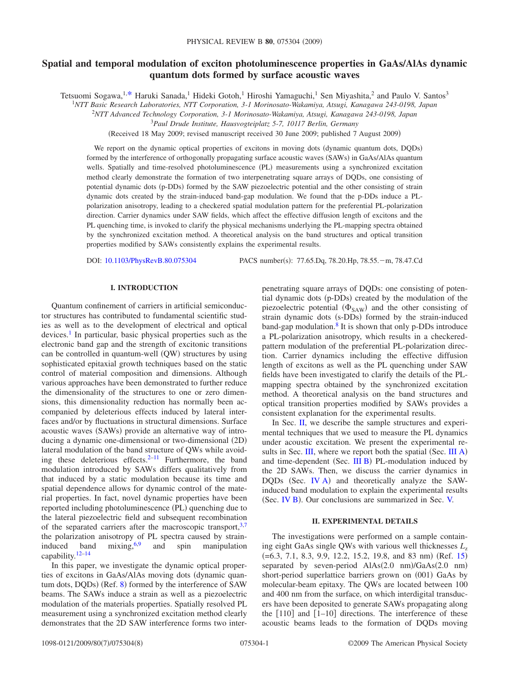# **Spatial and temporal modulation of exciton photoluminescence properties in GaAs/AlAs dynamic quantum dots formed by surface acoustic waves**

Tetsuomi Sogawa,<sup>1[,\\*](#page-7-0)</sup> Haruki Sanada,<sup>1</sup> Hideki Gotoh,<sup>1</sup> Hiroshi Yamaguchi,<sup>1</sup> Sen Miyashita,<sup>2</sup> and Paulo V. Santos<sup>3</sup>

1 *NTT Basic Research Laboratories, NTT Corporation, 3-1 Morinosato-Wakamiya, Atsugi, Kanagawa 243-0198, Japan*

2 *NTT Advanced Technology Corporation, 3-1 Morinosato-Wakamiya, Atsugi, Kanagawa 243-0198, Japan*

<sup>3</sup>*Paul Drude Institute, Hausvogteiplatz 5-7, 10117 Berlin, Germany*

(Received 18 May 2009; revised manuscript received 30 June 2009; published 7 August 2009)

We report on the dynamic optical properties of excitons in moving dots (dynamic quantum dots, DQDs) formed by the interference of orthogonally propagating surface acoustic waves (SAWs) in GaAs/AlAs quantum wells. Spatially and time-resolved photoluminescence (PL) measurements using a synchronized excitation method clearly demonstrate the formation of two interpenetrating square arrays of DQDs, one consisting of potential dynamic dots (p-DDs) formed by the SAW piezoelectric potential and the other consisting of strain dynamic dots created by the strain-induced band-gap modulation. We found that the p-DDs induce a PLpolarization anisotropy, leading to a checkered spatial modulation pattern for the preferential PL-polarization direction. Carrier dynamics under SAW fields, which affect the effective diffusion length of excitons and the PL quenching time, is invoked to clarify the physical mechanisms underlying the PL-mapping spectra obtained by the synchronized excitation method. A theoretical analysis on the band structures and optical transition properties modified by SAWs consistently explains the experimental results.

DOI: [10.1103/PhysRevB.80.075304](http://dx.doi.org/10.1103/PhysRevB.80.075304)

PACS number(s): 77.65.Dq, 78.20.Hp, 78.55. - m, 78.47.Cd

# **I. INTRODUCTION**

Quantum confinement of carriers in artificial semiconductor structures has contributed to fundamental scientific studies as well as to the development of electrical and optical devices.<sup>1</sup> In particular, basic physical properties such as the electronic band gap and the strength of excitonic transitions can be controlled in quantum-well (QW) structures by using sophisticated epitaxial growth techniques based on the static control of material composition and dimensions. Although various approaches have been demonstrated to further reduce the dimensionality of the structures to one or zero dimensions, this dimensionality reduction has normally been accompanied by deleterious effects induced by lateral interfaces and/or by fluctuations in structural dimensions. Surface acoustic waves (SAWs) provide an alternative way of introducing a dynamic one-dimensional or two-dimensional (2D) lateral modulation of the band structure of QWs while avoiding these deleterious effects. $2-11$  Furthermore, the band modulation introduced by SAWs differs qualitatively from that induced by a static modulation because its time and spatial dependence allows for dynamic control of the material properties. In fact, novel dynamic properties have been reported including photoluminescence (PL) quenching due to the lateral piezoelectric field and subsequent recombination of the separated carriers after the macroscopic transport,  $3.7$ the polarization anisotropy of PL spectra caused by straininduced band mixing,  $6,9$  $6,9$  and spin manipulation capability[.12–](#page-7-8)[14](#page-7-9)

In this paper, we investigate the dynamic optical properties of excitons in GaAs/AlAs moving dots (dynamic quan-tum dots, DQDs) (Ref. [8](#page-7-10)) formed by the interference of SAW beams. The SAWs induce a strain as well as a piezoelectric modulation of the materials properties. Spatially resolved PL measurement using a synchronized excitation method clearly demonstrates that the 2D SAW interference forms two interpenetrating square arrays of DQDs: one consisting of potential dynamic dots (p-DDs) created by the modulation of the piezoelectric potential  $(\Phi_{SAW})$  and the other consisting of strain dynamic dots (s-DDs) formed by the strain-induced band-gap modulation. $8$  It is shown that only p-DDs introduce a PL-polarization anisotropy, which results in a checkeredpattern modulation of the preferential PL-polarization direction. Carrier dynamics including the effective diffusion length of excitons as well as the PL quenching under SAW fields have been investigated to clarify the details of the PLmapping spectra obtained by the synchronized excitation method. A theoretical analysis on the band structures and optical transition properties modified by SAWs provides a consistent explanation for the experimental results.

In Sec. [II,](#page-0-0) we describe the sample structures and experimental techniques that we used to measure the PL dynamics under acoustic excitation. We present the experimental results in Sec.  $III$ , where we report both the spatial (Sec. [III A](#page-2-1)) and time-dependent (Sec. [III B](#page-2-2)) PL-modulation induced by the 2D SAWs. Then, we discuss the carrier dynamics in DQDs (Sec. [IV A](#page-3-0)) and theoretically analyze the SAWinduced band modulation to explain the experimental results (Sec. [IV B](#page-6-0)). Our conclusions are summarized in Sec. [V.](#page-7-11)

#### **II. EXPERIMENTAL DETAILS**

<span id="page-0-0"></span>The investigations were performed on a sample containing eight GaAs single OWs with various well thicknesses  $L<sub>z</sub>$  $(=6.3, 7.1, 8.3, 9.9, 12.2, 15.2, 19.8, and 83 nm)$  $(=6.3, 7.1, 8.3, 9.9, 12.2, 15.2, 19.8, and 83 nm)$  $(=6.3, 7.1, 8.3, 9.9, 12.2, 15.2, 19.8, and 83 nm)$  (Ref. 15) separated by seven-period AlAs(2.0 nm)/GaAs(2.0 nm) short-period superlattice barriers grown on (001) GaAs by molecular-beam epitaxy. The QWs are located between 100 and 400 nm from the surface, on which interdigital transducers have been deposited to generate SAWs propagating along the  $\lceil 110 \rceil$  and  $\lceil 1-10 \rceil$  directions. The interference of these acoustic beams leads to the formation of DQDs moving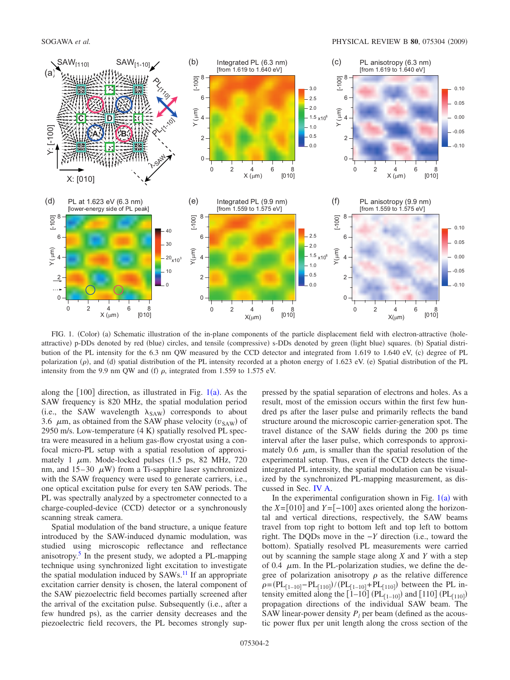<span id="page-1-0"></span>

FIG. 1. (Color) (a) Schematic illustration of the in-plane components of the particle displacement field with electron-attractive (holeattractive) p-DDs denoted by red (blue) circles, and tensile (compressive) s-DDs denoted by green (light blue) squares. (b) Spatial distribution of the PL intensity for the 6.3 nm QW measured by the CCD detector and integrated from 1.619 to 1.640 eV, (c) degree of PL polarization (p), and (d) spatial distribution of the PL intensity recorded at a photon energy of 1.623 eV. (e) Spatial distribution of the PL intensity from the 9.9 nm QW and (f)  $\rho$ , integrated from 1.559 to 1.575 eV.

along the  $[100]$  $[100]$  $[100]$  direction, as illustrated in Fig.  $1(a)$ . As the SAW frequency is 820 MHz, the spatial modulation period (i.e., the SAW wavelength  $\lambda_{SAW}$ ) corresponds to about 3.6  $\mu$ m, as obtained from the SAW phase velocity  $(v_{SAW})$  of 2950 m/s. Low-temperature (4 K) spatially resolved PL spectra were measured in a helium gas-flow cryostat using a confocal micro-PL setup with a spatial resolution of approximately 1  $\mu$ m. Mode-locked pulses (1.5 ps, 82 MHz, 720 nm, and  $15-30$   $\mu$ W) from a Ti-sapphire laser synchronized with the SAW frequency were used to generate carriers, i.e., one optical excitation pulse for every ten SAW periods. The PL was spectrally analyzed by a spectrometer connected to a charge-coupled-device (CCD) detector or a synchronously scanning streak camera.

Spatial modulation of the band structure, a unique feature introduced by the SAW-induced dynamic modulation, was studied using microscopic reflectance and reflectance anisotropy[.5](#page-7-13) In the present study, we adopted a PL-mapping technique using synchronized light excitation to investigate the spatial modulation induced by  $SAWs<sup>11</sup>$  If an appropriate excitation carrier density is chosen, the lateral component of the SAW piezoelectric field becomes partially screened after the arrival of the excitation pulse. Subsequently (i.e., after a few hundred ps), as the carrier density decreases and the piezoelectric field recovers, the PL becomes strongly suppressed by the spatial separation of electrons and holes. As a result, most of the emission occurs within the first few hundred ps after the laser pulse and primarily reflects the band structure around the microscopic carrier-generation spot. The travel distance of the SAW fields during the 200 ps time interval after the laser pulse, which corresponds to approximately 0.6  $\mu$ m, is smaller than the spatial resolution of the experimental setup. Thus, even if the CCD detects the timeintegrated PL intensity, the spatial modulation can be visualized by the synchronized PL-mapping measurement, as discussed in Sec. [IV A.](#page-3-0)

In the experimental configuration shown in Fig.  $1(a)$  $1(a)$  with the  $X=[010]$  and  $Y=[-100]$  axes oriented along the horizontal and vertical directions, respectively, the SAW beams travel from top right to bottom left and top left to bottom right. The DQDs move in the −*Y* direction (i.e., toward the bottom). Spatially resolved PL measurements were carried out by scanning the sample stage along *X* and *Y* with a step of 0.4  $\mu$ m. In the PL-polarization studies, we define the degree of polarization anisotropy  $\rho$  as the relative difference  $\rho = (PL_{[1-10]}-PL_{[110]})/(PL_{[1-10]}+PL_{[110]})$  between the PL intensity emitted along the  $\left[1-10\right]$  (PL $_{\left[1-10\right]}$ ) and  $\left[110\right]$  (PL $_{\left[110\right]}$ ) propagation directions of the individual SAW beam. The SAW linear-power density  $P_l$  per beam (defined as the acoustic power flux per unit length along the cross section of the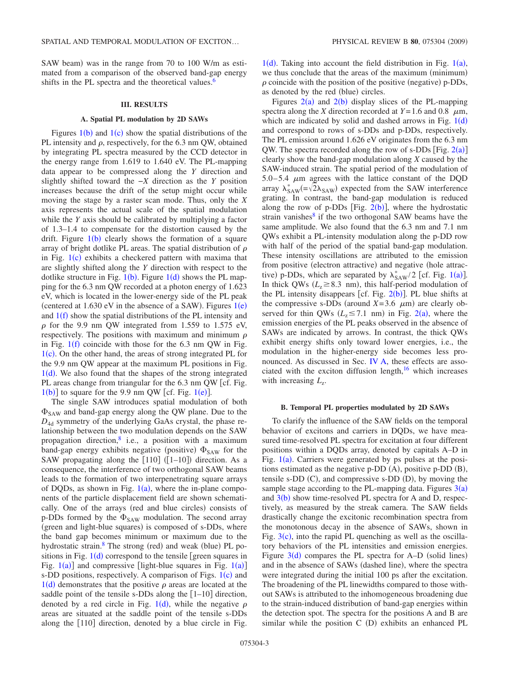SAW beam) was in the range from 70 to 100 W/m as estimated from a comparison of the observed band-gap energy shifts in the PL spectra and the theoretical values.<sup>6</sup>

# **III. RESULTS**

#### **A. Spatial PL modulation by 2D SAWs**

<span id="page-2-1"></span><span id="page-2-0"></span>Figures  $1(b)$  $1(b)$  and  $1(c)$  show the spatial distributions of the PL intensity and  $\rho$ , respectively, for the 6.3 nm QW, obtained by integrating PL spectra measured by the CCD detector in the energy range from 1.619 to 1.640 eV. The PL-mapping data appear to be compressed along the *Y* direction and slightly shifted toward the −*X* direction as the *Y* position increases because the drift of the setup might occur while moving the stage by a raster scan mode. Thus, only the *X* axis represents the actual scale of the spatial modulation while the *Y* axis should be calibrated by multiplying a factor of 1.3–1.4 to compensate for the distortion caused by the drift. Figure  $1(b)$  $1(b)$  clearly shows the formation of a square array of bright dotlike PL areas. The spatial distribution of  $\rho$ in Fig.  $1(c)$  $1(c)$  exhibits a checkered pattern with maxima that are slightly shifted along the *Y* direction with respect to the dotlike structure in Fig.  $1(b)$  $1(b)$ . Figure  $1(d)$  shows the PL mapping for the 6.3 nm QW recorded at a photon energy of 1.623 eV, which is located in the lower-energy side of the PL peak (centered at  $1.630$  $1.630$  eV in the absence of a SAW). Figures  $1(e)$ and  $1(f)$  $1(f)$  show the spatial distributions of the PL intensity and  $\rho$  for the 9.9 nm QW integrated from 1.559 to 1.575 eV, respectively. The positions with maximum and minimum  $\rho$ in Fig.  $1(f)$  $1(f)$  coincide with those for the 6.3 nm QW in Fig.  $1(c)$  $1(c)$ . On the other hand, the areas of strong integrated PL for the 9.9 nm QW appear at the maximum PL positions in Fig.  $1(d)$  $1(d)$ . We also found that the shapes of the strong integrated PL areas change from triangular for the  $6.3 \text{ nm } \text{QW}$  [cf. Fig.  $1(b)$  $1(b)$ ] to square for the 9.9 nm QW [cf. Fig.  $1(e)$ ].

The single SAW introduces spatial modulation of both  $\Phi_{\text{SAW}}$  and band-gap energy along the QW plane. Due to the *D*4d symmetry of the underlying GaAs crystal, the phase relationship between the two modulation depends on the SAW propagation direction, $8$  i.e., a position with a maximum band-gap energy exhibits negative (positive)  $\Phi_{\text{SAW}}$  for the SAW propagating along the  $[110]$  ( $[1-10]$ ) direction. As a consequence, the interference of two orthogonal SAW beams leads to the formation of two interpenetrating square arrays of DQDs, as shown in Fig.  $1(a)$  $1(a)$ , where the in-plane components of the particle displacement field are shown schematically. One of the arrays (red and blue circles) consists of p-DDs formed by the  $\Phi_{SAW}$  modulation. The second array (green and light-blue squares) is composed of s-DDs, where the band gap becomes minimum or maximum due to the hydrostatic strain.<sup>8</sup> The strong (red) and weak (blue) PL positions in Fig.  $1(d)$  $1(d)$  correspond to the tensile [green squares in Fig.  $1(a)$  $1(a)$ ] and compressive [light-blue squares in Fig.  $1(a)$ ] s-DD positions, respectively. A comparison of Figs.  $1(c)$  $1(c)$  and  $1(d)$  $1(d)$  demonstrates that the positive  $\rho$  areas are located at the saddle point of the tensile s-DDs along the  $[1-10]$  direction, denoted by a red circle in Fig. [1](#page-1-0)(d), while the negative  $\rho$ areas are situated at the saddle point of the tensile s-DDs along the  $[110]$  direction, denoted by a blue circle in Fig.

 $1(d)$  $1(d)$ . Taking into account the field distribution in Fig.  $1(a)$ , we thus conclude that the areas of the maximum (minimum)  $\rho$  coincide with the position of the positive (negative) p-DDs, as denoted by the red (blue) circles.

Figures  $2(a)$  $2(a)$  and  $2(b)$  display slices of the PL-mapping spectra along the *X* direction recorded at  $Y = 1.6$  and 0.8  $\mu$ m, which are indicated by solid and dashed arrows in Fig.  $1(d)$  $1(d)$ and correspond to rows of s-DDs and p-DDs, respectively. The PL emission around 1.626 eV originates from the 6.3 nm QW. The spectra recorded along the row of s-DDs  $[Fig. 2(a)]$  $[Fig. 2(a)]$  $[Fig. 2(a)]$ clearly show the band-gap modulation along *X* caused by the SAW-induced strain. The spatial period of the modulation of 5.0–5.4  $\mu$ m agrees with the lattice constant of the DQD array  $\lambda_{SAW}^* (= \sqrt{2} \lambda_{SAW})$  expected from the SAW interference grating. In contrast, the band-gap modulation is reduced along the row of p-DDs [Fig.  $2(b)$  $2(b)$ ], where the hydrostatic strain vanishes $8$  if the two orthogonal SAW beams have the same amplitude. We also found that the 6.3 nm and 7.1 nm QWs exhibit a PL-intensity modulation along the p-DD row with half of the period of the spatial band-gap modulation. These intensity oscillations are attributed to the emission from positive (electron attractive) and negative (hole attractive) p-DDs, which are separated by  $\lambda_{SAW}^*/2$  [cf. Fig. [1](#page-1-0)(a)]. In thick QWs ( $L_z \geq 8.3$  nm), this half-period modulation of the PL intensity disappears [cf. Fig.  $2(b)$  $2(b)$ ]. PL blue shifts at the compressive s-DDs (around  $X=3.6 \mu m$ ) are clearly observed for thin QWs ( $L_z \le 7.1$  nm) in Fig. [2](#page-3-1)(a), where the emission energies of the PL peaks observed in the absence of SAWs are indicated by arrows. In contrast, the thick QWs exhibit energy shifts only toward lower energies, i.e., the modulation in the higher-energy side becomes less pronounced. As discussed in Sec. [IV A,](#page-3-0) these effects are associated with the exciton diffusion length, $16$  which increases with increasing  $L_z$ .

#### **B. Temporal PL properties modulated by 2D SAWs**

<span id="page-2-2"></span>To clarify the influence of the SAW fields on the temporal behavior of excitons and carriers in DQDs, we have measured time-resolved PL spectra for excitation at four different positions within a DQDs array, denoted by capitals A–D in Fig.  $1(a)$  $1(a)$ . Carriers were generated by ps pulses at the positions estimated as the negative  $p$ -DD  $(A)$ , positive  $p$ -DD  $(B)$ , tensile s-DD  $(C)$ , and compressive s-DD  $(D)$ , by moving the sample stage according to the PL-mapping data. Figures  $3(a)$  $3(a)$ and  $3(b)$  $3(b)$  show time-resolved PL spectra for A and D, respectively, as measured by the streak camera. The SAW fields drastically change the excitonic recombination spectra from the monotonous decay in the absence of SAWs, shown in Fig.  $3(c)$  $3(c)$ , into the rapid PL quenching as well as the oscillatory behaviors of the PL intensities and emission energies. Figure  $3(d)$  $3(d)$  compares the PL spectra for A–D (solid lines) and in the absence of SAWs (dashed line), where the spectra were integrated during the initial 100 ps after the excitation. The broadening of the PL linewidths compared to those without SAWs is attributed to the inhomogeneous broadening due to the strain-induced distribution of band-gap energies within the detection spot. The spectra for the positions A and B are similar while the position C (D) exhibits an enhanced PL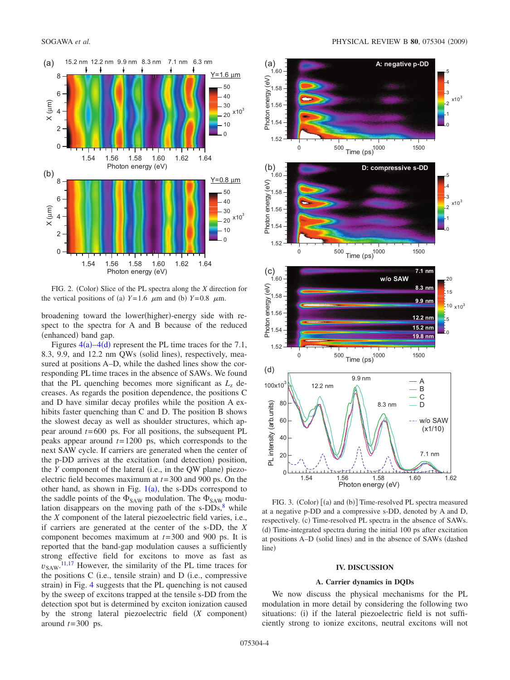<span id="page-3-1"></span>

FIG. 2. (Color) Slice of the PL spectra along the *X* direction for the vertical positions of (a)  $Y=1.6$   $\mu$ m and (b)  $Y=0.8$   $\mu$ m.

broadening toward the lower(higher)-energy side with respect to the spectra for A and B because of the reduced (enhanced) band gap.

Figures  $4(a) - 4(d)$  $4(a) - 4(d)$  represent the PL time traces for the 7.1, 8.3, 9.9, and 12.2 nm QWs (solid lines), respectively, measured at positions A–D, while the dashed lines show the corresponding PL time traces in the absence of SAWs. We found that the PL quenching becomes more significant as  $L<sub>z</sub>$  decreases. As regards the position dependence, the positions C and D have similar decay profiles while the position A exhibits faster quenching than C and D. The position B shows the slowest decay as well as shoulder structures, which appear around *t*= 600 ps. For all positions, the subsequent PL peaks appear around *t*= 1200 ps, which corresponds to the next SAW cycle. If carriers are generated when the center of the p-DD arrives at the excitation (and detection) position, the *Y* component of the lateral (i.e., in the QW plane) piezoelectric field becomes maximum at *t*= 300 and 900 ps. On the other hand, as shown in Fig.  $1(a)$  $1(a)$ , the s-DDs correspond to the saddle points of the  $\Phi_{SAW}$  modulation. The  $\Phi_{SAW}$  modulation disappears on the moving path of the  $s$ -DDs, $8$  while the *X* component of the lateral piezoelectric field varies, i.e., if carriers are generated at the center of the s-DD, the *X* component becomes maximum at *t*= 300 and 900 ps. It is reported that the band-gap modulation causes a sufficiently strong effective field for excitons to move as fast as  $v_{\text{SAW}}$ .<sup>[11](#page-7-3)[,17](#page-7-15)</sup> However, the similarity of the PL time traces for the positions  $C$  (i.e., tensile strain) and  $D$  (i.e., compressive strain) in Fig. [4](#page-4-0) suggests that the PL quenching is not caused by the sweep of excitons trapped at the tensile s-DD from the detection spot but is determined by exciton ionization caused by the strong lateral piezoelectric field (X component) around  $t = 300$  ps.

<span id="page-3-2"></span>

FIG. 3. (Color) [(a) and (b)] Time-resolved PL spectra measured at a negative p-DD and a compressive s-DD, denoted by A and D, respectively. (c) Time-resolved PL spectra in the absence of SAWs. (d) Time-integrated spectra during the initial 100 ps after excitation at positions A-D (solid lines) and in the absence of SAWs (dashed line)

# **IV. DISCUSSION**

## **A. Carrier dynamics in DQDs**

<span id="page-3-0"></span>We now discuss the physical mechanisms for the PL modulation in more detail by considering the following two situations: (i) if the lateral piezoelectric field is not sufficiently strong to ionize excitons, neutral excitons will not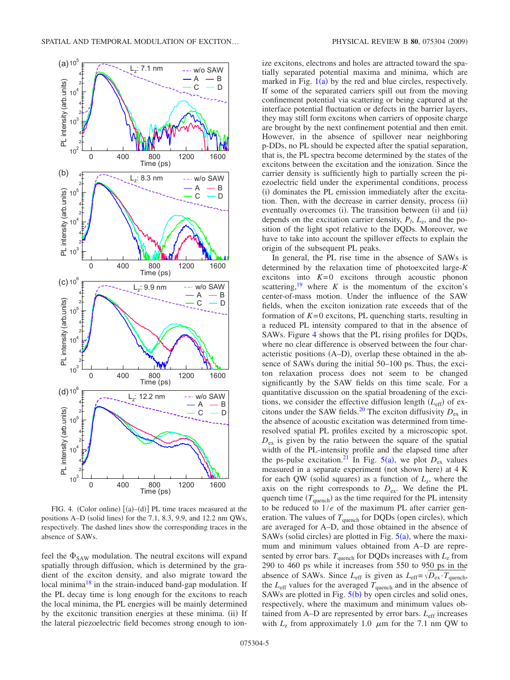<span id="page-4-0"></span>

FIG. 4. (Color online)  $[(a)-(d)]$  PL time traces measured at the positions A–D (solid lines) for the 7.1, 8.3, 9.9, and 12.2 nm QWs, respectively. The dashed lines show the corresponding traces in the absence of SAWs.

feel the  $\Phi_{\text{SAW}}$  modulation. The neutral excitons will expand spatially through diffusion, which is determined by the gradient of the exciton density, and also migrate toward the local minima<sup>18</sup> in the strain-induced band-gap modulation. If the PL decay time is long enough for the excitons to reach the local minima, the PL energies will be mainly determined by the excitonic transition energies at these minima. (ii) If the lateral piezoelectric field becomes strong enough to ionize excitons, electrons and holes are attracted toward the spatially separated potential maxima and minima, which are marked in Fig.  $1(a)$  $1(a)$  by the red and blue circles, respectively. If some of the separated carriers spill out from the moving confinement potential via scattering or being captured at the interface potential fluctuation or defects in the barrier layers, they may still form excitons when carriers of opposite charge are brought by the next confinement potential and then emit. However, in the absence of spillover near neighboring p-DDs, no PL should be expected after the spatial separation, that is, the PL spectra become determined by the states of the excitons between the excitation and the ionization. Since the carrier density is sufficiently high to partially screen the piezoelectric field under the experimental conditions, process (i) dominates the PL emission immediately after the excitation. Then, with the decrease in carrier density, process (ii) eventually overcomes (i). The transition between (i) and (ii) depends on the excitation carrier density,  $P_l$ ,  $L_z$ , and the position of the light spot relative to the DQDs. Moreover, we have to take into account the spillover effects to explain the origin of the subsequent PL peaks.

In general, the PL rise time in the absence of SAWs is determined by the relaxation time of photoexcited large-*K* excitons into  $K=0$  excitons through acoustic phonon scattering,<sup>19</sup> where  $K$  is the momentum of the exciton's center-of-mass motion. Under the influence of the SAW fields, when the exciton ionization rate exceeds that of the formation of  $K=0$  excitons, PL quenching starts, resulting in a reduced PL intensity compared to that in the absence of SAWs. Figure [4](#page-4-0) shows that the PL rising profiles for DQDs, where no clear difference is observed between the four characteristic positions (A–D), overlap these obtained in the absence of SAWs during the initial 50–100 ps. Thus, the exciton relaxation process does not seem to be changed significantly by the SAW fields on this time scale. For a quantitative discussion on the spatial broadening of the excitions, we consider the effective diffusion length  $(L_{\text{eff}})$  of excitons under the SAW fields.<sup>20</sup> The exciton diffusivity  $D_{\text{ex}}$  in the absence of acoustic excitation was determined from timeresolved spatial PL profiles excited by a microscopic spot.  $D_{\text{ex}}$  is given by the ratio between the square of the spatial width of the PL-intensity profile and the elapsed time after the ps-pulse excitation.<sup>21</sup> In Fig.  $5(a)$  $5(a)$ , we plot  $D_{ex}$  values measured in a separate experiment (not shown here) at 4 K for each QW (solid squares) as a function of  $L_z$ , where the axis on the right corresponds to  $D_{ex}$ . We define the PL quench time  $(T_{\text{quench}})$  as the time required for the PL intensity to be reduced to 1/*e* of the maximum PL after carrier generation. The values of  $T_{\text{quench}}$  for DQDs (open circles), which are averaged for A–D, and those obtained in the absence of SAWs (solid circles) are plotted in Fig.  $5(a)$  $5(a)$ , where the maximum and minimum values obtained from A–D are represented by error bars.  $T_{\text{quench}}$  for DQDs increases with  $L_z$  from 290 to 460 ps while it increases from 550 to 950 ps in the absence of SAWs. Since  $L_{\text{eff}}$  is given as  $L_{\text{eff}} = \sqrt{D_{\text{ex}}} \cdot T_{\text{quench}}$ , the  $L_{\text{eff}}$  values for the averaged  $T_{\text{quench}}$  and in the absence of SAWs are plotted in Fig.  $5(b)$  $5(b)$  by open circles and solid ones, respectively, where the maximum and minimum values obtained from A–D are represented by error bars. *L*eff increases with  $L_z$  from approximately 1.0  $\mu$ m for the 7.1 nm QW to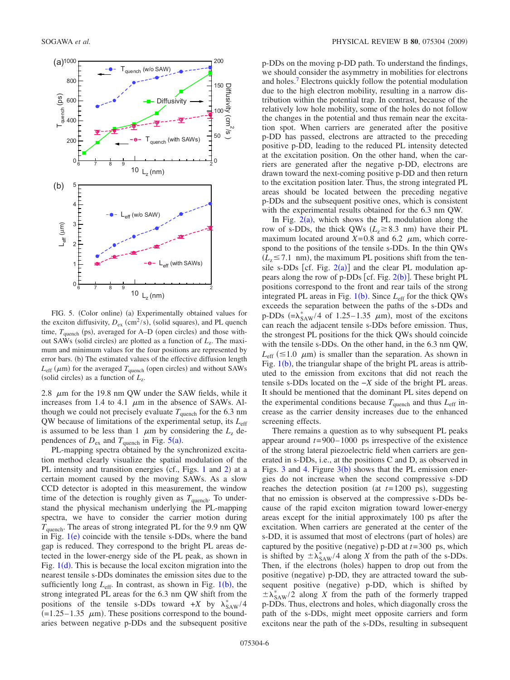<span id="page-5-0"></span>

FIG. 5. (Color online) (a) Experimentally obtained values for the exciton diffusivity,  $D_{\text{ex}}$  (cm<sup>2</sup>/s), (solid squares), and PL quench time,  $T_{\text{quench}}$  (ps), averaged for A–D (open circles) and those without SAWs (solid circles) are plotted as a function of *L*<sub>z</sub>. The maximum and minimum values for the four positions are represented by error bars. (b) The estimated values of the effective diffusion length  $L_{\text{eff}}$  ( $\mu$ m) for the averaged  $T_{\text{quench}}$  (open circles) and without SAWs (solid circles) as a function of  $L_z$ .

2.8  $\mu$ m for the 19.8 nm QW under the SAW fields, while it increases from 1.4 to 4.1  $\mu$ m in the absence of SAWs. Although we could not precisely evaluate  $T_{\text{quench}}$  for the 6.3 nm QW because of limitations of the experimental setup, its *L*eff is assumed to be less than 1  $\mu$ m by considering the  $L<sub>z</sub>$  dependences of  $D_{\text{ex}}$  and  $T_{\text{quench}}$  in Fig. [5](#page-5-0)(a).

PL-mapping spectra obtained by the synchronized excitation method clearly visualize the spatial modulation of the PL intensity and transition energies (cf., Figs. [1](#page-1-0) and [2](#page-3-1)) at a certain moment caused by the moving SAWs. As a slow CCD detector is adopted in this measurement, the window time of the detection is roughly given as  $T_{quench}$ . To understand the physical mechanism underlying the PL-mapping spectra, we have to consider the carrier motion during  $T_{\text{quench}}$ . The areas of strong integrated PL for the 9.9 nm QW in Fig.  $1(e)$  $1(e)$  coincide with the tensile s-DDs, where the band gap is reduced. They correspond to the bright PL areas detected in the lower-energy side of the PL peak, as shown in Fig.  $1(d)$  $1(d)$ . This is because the local exciton migration into the nearest tensile s-DDs dominates the emission sites due to the sufficiently long  $L_{\text{eff}}$ . In contrast, as shown in Fig. [1](#page-1-0)(b), the strong integrated PL areas for the 6.3 nm QW shift from the positions of the tensile s-DDs toward  $+X$  by  $\lambda_{\text{SAW}}^*/4$  $(=1.25-1.35 \mu m)$ . These positions correspond to the boundaries between negative p-DDs and the subsequent positive

p-DDs on the moving p-DD path. To understand the findings, we should consider the asymmetry in mobilities for electrons and holes[.7](#page-7-5) Electrons quickly follow the potential modulation due to the high electron mobility, resulting in a narrow distribution within the potential trap. In contrast, because of the relatively low hole mobility, some of the holes do not follow the changes in the potential and thus remain near the excitation spot. When carriers are generated after the positive p-DD has passed, electrons are attracted to the preceding positive p-DD, leading to the reduced PL intensity detected at the excitation position. On the other hand, when the carriers are generated after the negative p-DD, electrons are drawn toward the next-coming positive p-DD and then return to the excitation position later. Thus, the strong integrated PL areas should be located between the preceding negative p-DDs and the subsequent positive ones, which is consistent with the experimental results obtained for the 6.3 nm QW.

In Fig.  $2(a)$  $2(a)$ , which shows the PL modulation along the row of s-DDs, the thick QWs ( $L_z \geq 8.3$  nm) have their PL maximum located around  $X=0.8$  and 6.2  $\mu$ m, which correspond to the positions of the tensile s-DDs. In the thin QWs  $(L_z \le 7.1 \text{ nm})$ , the maximum PL positions shift from the tensile s-DDs [cf. Fig.  $2(a)$  $2(a)$ ] and the clear PL modulation appears along the row of p-DDs [cf. Fig.  $2(b)$  $2(b)$ ]. These bright PL positions correspond to the front and rear tails of the strong integrated PL areas in Fig. [1](#page-1-0)(b). Since *L*<sub>eff</sub> for the thick QWs exceeds the separation between the paths of the s-DDs and p-DDs  $(\equiv \lambda_{SAW}^* / 4 \text{ of } 1.25 - 1.35 \mu \text{m})$ , most of the excitons can reach the adjacent tensile s-DDs before emission. Thus, the strongest PL positions for the thick QWs should coincide with the tensile s-DDs. On the other hand, in the 6.3 nm QW,  $L_{\text{eff}}$  ( $\leq$ 1.0  $\mu$ m) is smaller than the separation. As shown in Fig.  $1(b)$  $1(b)$ , the triangular shape of the bright PL areas is attributed to the emission from excitons that did not reach the tensile s-DDs located on the −*X* side of the bright PL areas. It should be mentioned that the dominant PL sites depend on the experimental conditions because  $T_{\text{quench}}$  and thus  $L_{\text{eff}}$  increase as the carrier density increases due to the enhanced screening effects.

There remains a question as to why subsequent PL peaks appear around  $t = 900 - 1000$  ps irrespective of the existence of the strong lateral piezoelectric field when carriers are generated in s-DDs, i.e., at the positions C and D, as observed in Figs. [3](#page-3-2) and [4.](#page-4-0) Figure  $3(b)$  shows that the PL emission energies do not increase when the second compressive s-DD reaches the detection position (at  $t = 1200$  ps), suggesting that no emission is observed at the compressive s-DDs because of the rapid exciton migration toward lower-energy areas except for the initial approximately 100 ps after the excitation. When carriers are generated at the center of the s-DD, it is assumed that most of electrons (part of holes) are captured by the positive (negative)  $p$ -DD at  $t = 300$  ps, which is shifted by  $\pm \lambda_{SAW}^* / 4$  along *X* from the path of the s-DDs. Then, if the electrons (holes) happen to drop out from the positive (negative) p-DD, they are attracted toward the subsequent positive (negative) p-DD, which is shifted by  $\pm \hat{\lambda}_{\text{SAW}}^*/2$  along *X* from the path of the formerly trapped p-DDs. Thus, electrons and holes, which diagonally cross the path of the s-DDs, might meet opposite carriers and form excitons near the path of the s-DDs, resulting in subsequent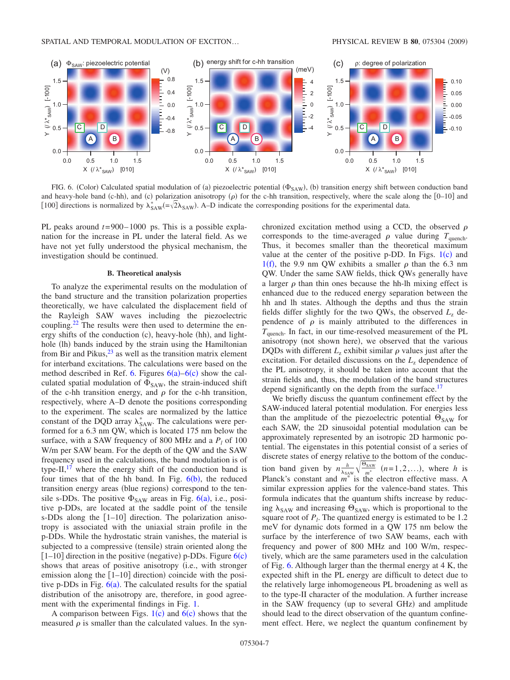<span id="page-6-1"></span>

FIG. 6. (Color) Calculated spatial modulation of (a) piezoelectric potential  $(\Phi_{SAW})$ , (b) transition energy shift between conduction band and heavy-hole band (c-hh), and (c) polarization anisotropy  $(\rho)$  for the c-hh transition, respectively, where the scale along the  $[0-10]$  and [100] directions is normalized by  $\lambda_{SAW}^*$  =  $\sqrt{2}\lambda_{SAW}$ ). A–D indicate the corresponding positions for the experimental data.

PL peaks around *t*= 900– 1000 ps. This is a possible explanation for the increase in PL under the lateral field. As we have not yet fully understood the physical mechanism, the investigation should be continued.

## **B. Theoretical analysis**

<span id="page-6-0"></span>To analyze the experimental results on the modulation of the band structure and the transition polarization properties theoretically, we have calculated the displacement field of the Rayleigh SAW waves including the piezoelectric coupling. $^{22}$  The results were then used to determine the energy shifts of the conduction (c), heavy-hole (hh), and lighthole (lh) bands induced by the strain using the Hamiltonian from Bir and Pikus, $2<sup>3</sup>$  as well as the transition matrix element for interband excitations. The calculations were based on the method described in Ref. [6.](#page-7-6) Figures  $6(a)$  $6(a)$ – $6(c)$  show the calculated spatial modulation of  $\Phi_{SAW}$ , the strain-induced shift of the c-hh transition energy, and  $\rho$  for the c-hh transition, respectively, where A–D denote the positions corresponding to the experiment. The scales are normalized by the lattice constant of the DQD array  $\lambda_{SAW}^*$ . The calculations were performed for a 6.3 nm QW, which is located 175 nm below the surface, with a SAW frequency of 800 MHz and a  $P_l$  of 100 W/m per SAW beam. For the depth of the QW and the SAW frequency used in the calculations, the band modulation is of type-II, $^{17}$  where the energy shift of the conduction band is four times that of the hh band. In Fig.  $6(b)$  $6(b)$ , the reduced transition energy areas (blue regions) correspond to the tensile s-DDs. The positive  $\Phi_{SAW}$  areas in Fig. [6](#page-6-1)(a), i.e., positive p-DDs, are located at the saddle point of the tensile s-DDs along the  $\lceil 1-10 \rceil$  direction. The polarization anisotropy is associated with the uniaxial strain profile in the p-DDs. While the hydrostatic strain vanishes, the material is subjected to a compressive (tensile) strain oriented along the  $[1-10]$  direction in the positive (negative) p-DDs. Figure  $6(c)$  $6(c)$ shows that areas of positive anisotropy (i.e., with stronger emission along the  $[1-10]$  direction) coincide with the positive p-DDs in Fig.  $6(a)$  $6(a)$ . The calculated results for the spatial distribution of the anisotropy are, therefore, in good agreement with the experimental findings in Fig. [1.](#page-1-0)

A comparison between Figs.  $1(c)$  $1(c)$  and  $6(c)$  $6(c)$  shows that the measured  $\rho$  is smaller than the calculated values. In the synchronized excitation method using a CCD, the observed  $\rho$ corresponds to the time-averaged  $\rho$  value during  $T_{\text{quench}}$ . Thus, it becomes smaller than the theoretical maximum value at the center of the positive p-DD. In Figs.  $1(c)$  $1(c)$  and [1](#page-1-0)(f), the 9.9 nm QW exhibits a smaller  $\rho$  than the 6.3 nm QW. Under the same SAW fields, thick QWs generally have a larger  $\rho$  than thin ones because the hh-lh mixing effect is enhanced due to the reduced energy separation between the hh and lh states. Although the depths and thus the strain fields differ slightly for the two QWs, the observed  $L<sub>z</sub>$  dependence of  $\rho$  is mainly attributed to the differences in *T*quench. In fact, in our time-resolved measurement of the PL anisotropy (not shown here), we observed that the various DQDs with different  $L<sub>z</sub>$  exhibit similar  $\rho$  values just after the excitation. For detailed discussions on the  $L<sub>z</sub>$  dependence of the PL anisotropy, it should be taken into account that the strain fields and, thus, the modulation of the band structures depend significantly on the depth from the surface.<sup>17</sup>

We briefly discuss the quantum confinement effect by the SAW-induced lateral potential modulation. For energies less than the amplitude of the piezoelectric potential  $\Theta_{SAW}$  for each SAW, the 2D sinusoidal potential modulation can be approximately represented by an isotropic 2D harmonic potential. The eigenstates in this potential consist of a series of discrete states of energy relative to the bottom of the conduction band given by  $n \frac{h}{\lambda_{SAW}} \sqrt{\frac{\Theta_{SAW}}{m^*}}$  (*n*=1,2,...), where *h* is Planck's constant and  $m^*$  is the electron effective mass. A similar expression applies for the valence-band states. This formula indicates that the quantum shifts increase by reducing  $\lambda_{\text{SAW}}$  and increasing  $\Theta_{\text{SAW}}$ , which is proportional to the square root of  $P_l$ . The quantized energy is estimated to be 1.2 meV for dynamic dots formed in a QW 175 nm below the surface by the interference of two SAW beams, each with frequency and power of 800 MHz and 100 W/m, respectively, which are the same parameters used in the calculation of Fig. [6.](#page-6-1) Although larger than the thermal energy at 4 K, the expected shift in the PL energy are difficult to detect due to the relatively large inhomogeneous PL broadening as well as to the type-II character of the modulation. A further increase in the SAW frequency (up to several GHz) and amplitude should lead to the direct observation of the quantum confinement effect. Here, we neglect the quantum confinement by